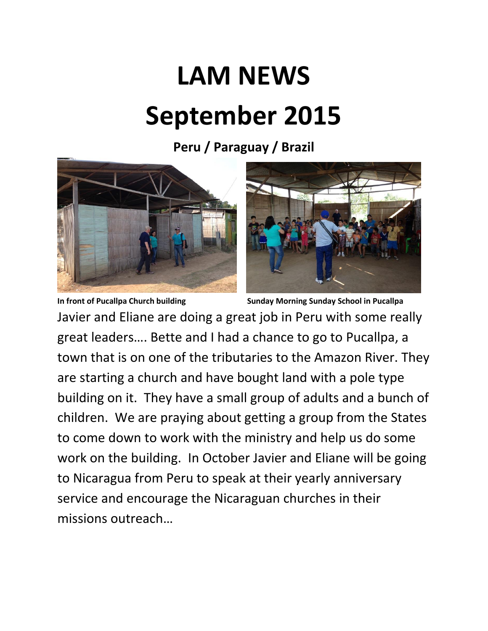## **LAM NEWS September 2015**

**Peru / Paraguay / Brazil**





**In front of Pucallpa Church building Sunday Morning Sunday School in Pucallpa** Javier and Eliane are doing a great job in Peru with some really great leaders…. Bette and I had a chance to go to Pucallpa, a town that is on one of the tributaries to the Amazon River. They are starting a church and have bought land with a pole type building on it. They have a small group of adults and a bunch of children. We are praying about getting a group from the States to come down to work with the ministry and help us do some work on the building. In October Javier and Eliane will be going to Nicaragua from Peru to speak at their yearly anniversary service and encourage the Nicaraguan churches in their missions outreach…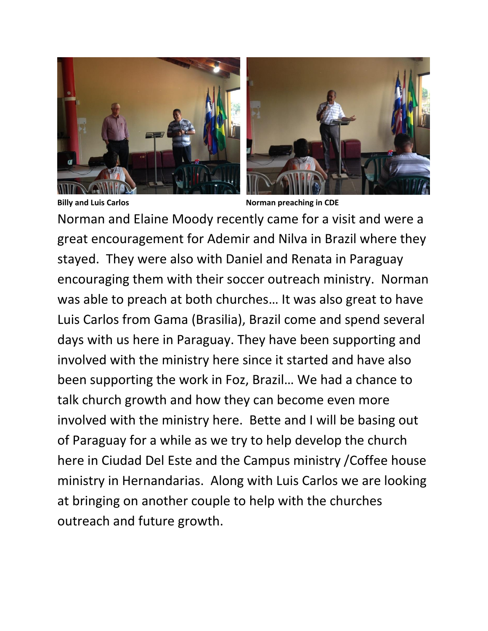



**Billy and Luis Carlos Norman preaching in CDE** 

Norman and Elaine Moody recently came for a visit and were a great encouragement for Ademir and Nilva in Brazil where they stayed. They were also with Daniel and Renata in Paraguay encouraging them with their soccer outreach ministry. Norman was able to preach at both churches… It was also great to have Luis Carlos from Gama (Brasilia), Brazil come and spend several days with us here in Paraguay. They have been supporting and involved with the ministry here since it started and have also been supporting the work in Foz, Brazil… We had a chance to talk church growth and how they can become even more involved with the ministry here. Bette and I will be basing out of Paraguay for a while as we try to help develop the church here in Ciudad Del Este and the Campus ministry /Coffee house ministry in Hernandarias. Along with Luis Carlos we are looking at bringing on another couple to help with the churches outreach and future growth.